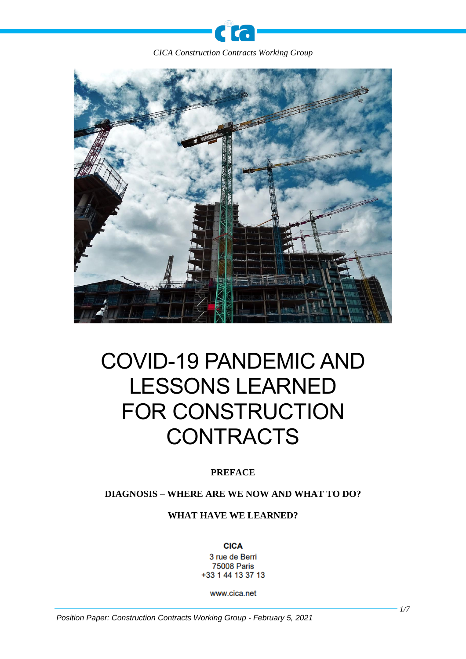**C** 

 $\bullet$ 



# COVID-19 PANDEMIC AND LESSONS LEARNED FOR CONSTRUCTION **CONTRACTS**

# **PREFACE**

# **DIAGNOSIS – WHERE ARE WE NOW AND WHAT TO DO?**

### **WHAT HAVE WE LEARNED?**

**CICA** 3 rue de Berri **75008 Paris** +33 1 44 13 37 13

www.cica.net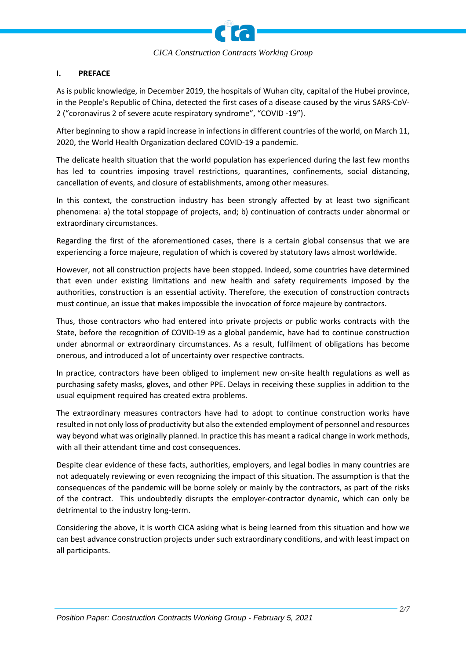

#### **I. PREFACE**

As is public knowledge, in December 2019, the hospitals of Wuhan city, capital of the Hubei province, in the People's Republic of China, detected the first cases of a disease caused by the virus SARS-CoV-2 ("coronavirus 2 of severe acute respiratory syndrome", "COVID -19").

After beginning to show a rapid increase in infections in different countries of the world, on March 11, 2020, the World Health Organization declared COVID-19 a pandemic.

The delicate health situation that the world population has experienced during the last few months has led to countries imposing travel restrictions, quarantines, confinements, social distancing, cancellation of events, and closure of establishments, among other measures.

In this context, the construction industry has been strongly affected by at least two significant phenomena: a) the total stoppage of projects, and; b) continuation of contracts under abnormal or extraordinary circumstances.

Regarding the first of the aforementioned cases, there is a certain global consensus that we are experiencing a force majeure, regulation of which is covered by statutory laws almost worldwide.

However, not all construction projects have been stopped. Indeed, some countries have determined that even under existing limitations and new health and safety requirements imposed by the authorities, construction is an essential activity. Therefore, the execution of construction contracts must continue, an issue that makes impossible the invocation of force majeure by contractors.

Thus, those contractors who had entered into private projects or public works contracts with the State, before the recognition of COVID-19 as a global pandemic, have had to continue construction under abnormal or extraordinary circumstances. As a result, fulfilment of obligations has become onerous, and introduced a lot of uncertainty over respective contracts.

In practice, contractors have been obliged to implement new on-site health regulations as well as purchasing safety masks, gloves, and other PPE. Delays in receiving these supplies in addition to the usual equipment required has created extra problems.

The extraordinary measures contractors have had to adopt to continue construction works have resulted in not only loss of productivity but also the extended employment of personnel and resources way beyond what was originally planned. In practice this has meant a radical change in work methods, with all their attendant time and cost consequences.

Despite clear evidence of these facts, authorities, employers, and legal bodies in many countries are not adequately reviewing or even recognizing the impact of this situation. The assumption is that the consequences of the pandemic will be borne solely or mainly by the contractors, as part of the risks of the contract. This undoubtedly disrupts the employer-contractor dynamic, which can only be detrimental to the industry long-term.

Considering the above, it is worth CICA asking what is being learned from this situation and how we can best advance construction projects under such extraordinary conditions, and with least impact on all participants.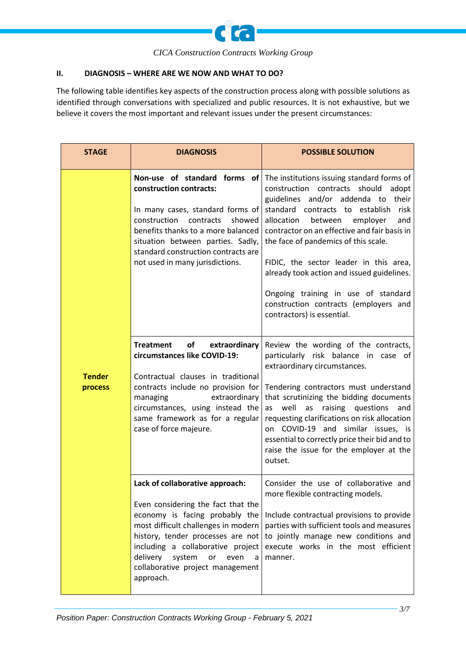

## **II. DIAGNOSIS – WHERE ARE WE NOW AND WHAT TO DO?**

The following table identifies key aspects of the construction process along with possible solutions as identified through conversations with specialized and public resources. It is not exhaustive, but we believe it covers the most important and relevant issues under the present circumstances:

| <b>STAGE</b>             | <b>DIAGNOSIS</b>                                                                                                                                                                                                                                                                                                   | <b>POSSIBLE SOLUTION</b>                                                                                                                                                                                                                                                                                                                                                                                                                                                                                           |
|--------------------------|--------------------------------------------------------------------------------------------------------------------------------------------------------------------------------------------------------------------------------------------------------------------------------------------------------------------|--------------------------------------------------------------------------------------------------------------------------------------------------------------------------------------------------------------------------------------------------------------------------------------------------------------------------------------------------------------------------------------------------------------------------------------------------------------------------------------------------------------------|
| <b>Tender</b><br>process | Non-use of standard forms of<br>construction contracts:<br>In many cases, standard forms of<br>construction<br>contracts<br>showed<br>benefits thanks to a more balanced<br>situation between parties. Sadly,<br>standard construction contracts are<br>not used in many jurisdictions.                            | The institutions issuing standard forms of<br>construction contracts should<br>adopt<br>guidelines and/or addenda to<br>their<br>standard contracts to establish<br>risk<br>allocation<br>between<br>employer<br>and<br>contractor on an effective and fair basis in<br>the face of pandemics of this scale.<br>FIDIC, the sector leader in this area,<br>already took action and issued guidelines.<br>Ongoing training in use of standard<br>construction contracts (employers and<br>contractors) is essential. |
|                          | <b>Treatment</b><br>of<br>extraordinary<br>circumstances like COVID-19:<br>Contractual clauses in traditional<br>contracts include no provision for<br>managing<br>extraordinary<br>circumstances, using instead the<br>same framework as for a regular<br>case of force majeure.                                  | Review the wording of the contracts,<br>particularly risk balance in case of<br>extraordinary circumstances.<br>Tendering contractors must understand<br>that scrutinizing the bidding documents<br>well<br>raising questions<br>and<br>as<br>as<br>requesting clarifications on risk allocation<br>similar issues, is<br>COVID-19<br>and<br>on<br>essential to correctly price their bid and to<br>raise the issue for the employer at the<br>outset.                                                             |
|                          | Lack of collaborative approach:<br>Even considering the fact that the<br>economy is facing probably the<br>most difficult challenges in modern<br>history, tender processes are not<br>including a collaborative project<br>delivery<br>system<br>or<br>even<br>a<br>collaborative project management<br>approach. | Consider the use of collaborative and<br>more flexible contracting models.<br>Include contractual provisions to provide<br>parties with sufficient tools and measures<br>to jointly manage new conditions and<br>execute works in the most efficient<br>manner.                                                                                                                                                                                                                                                    |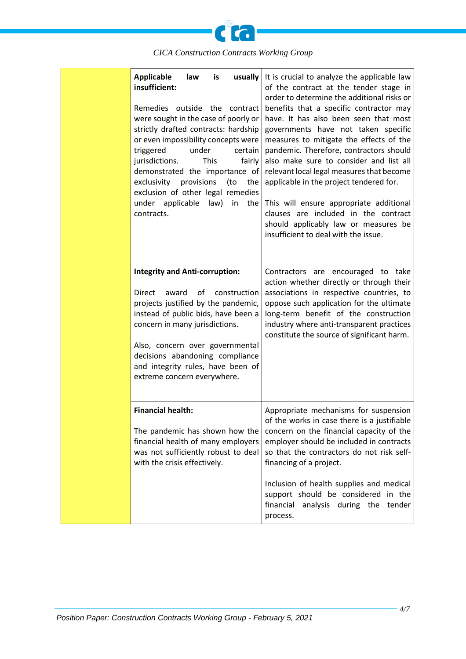

| <b>Applicable</b><br>law<br>usually<br>is<br>insufficient:<br>Remedies outside the contract<br>were sought in the case of poorly or<br>strictly drafted contracts: hardship<br>or even impossibility concepts were<br>triggered<br>under<br>certain<br><b>This</b><br>jurisdictions.<br>fairly<br>demonstrated the importance of<br>exclusivity<br>provisions<br>(to<br>the<br>exclusion of other legal remedies<br>under applicable law)<br>in<br>the<br>contracts. | It is crucial to analyze the applicable law<br>of the contract at the tender stage in<br>order to determine the additional risks or<br>benefits that a specific contractor may<br>have. It has also been seen that most<br>governments have not taken specific<br>measures to mitigate the effects of the<br>pandemic. Therefore, contractors should<br>also make sure to consider and list all<br>relevant local legal measures that become<br>applicable in the project tendered for.<br>This will ensure appropriate additional<br>clauses are included in the contract<br>should applicably law or measures be<br>insufficient to deal with the issue. |
|----------------------------------------------------------------------------------------------------------------------------------------------------------------------------------------------------------------------------------------------------------------------------------------------------------------------------------------------------------------------------------------------------------------------------------------------------------------------|------------------------------------------------------------------------------------------------------------------------------------------------------------------------------------------------------------------------------------------------------------------------------------------------------------------------------------------------------------------------------------------------------------------------------------------------------------------------------------------------------------------------------------------------------------------------------------------------------------------------------------------------------------|
| <b>Integrity and Anti-corruption:</b><br>οf<br>construction<br>Direct<br>award<br>projects justified by the pandemic,<br>instead of public bids, have been a<br>concern in many jurisdictions.<br>Also, concern over governmental<br>decisions abandoning compliance<br>and integrity rules, have been of<br>extreme concern everywhere.                                                                                                                             | Contractors are encouraged to take<br>action whether directly or through their<br>associations in respective countries, to<br>oppose such application for the ultimate<br>long-term benefit of the construction<br>industry where anti-transparent practices<br>constitute the source of significant harm.                                                                                                                                                                                                                                                                                                                                                 |
| <b>Financial health:</b><br>The pandemic has shown how the<br>financial health of many employers<br>was not sufficiently robust to deal<br>with the crisis effectively.                                                                                                                                                                                                                                                                                              | Appropriate mechanisms for suspension<br>of the works in case there is a justifiable<br>concern on the financial capacity of the<br>employer should be included in contracts<br>so that the contractors do not risk self-<br>financing of a project.<br>Inclusion of health supplies and medical<br>support should be considered in the<br>financial<br>analysis during the tender<br>process.                                                                                                                                                                                                                                                             |

*4/7*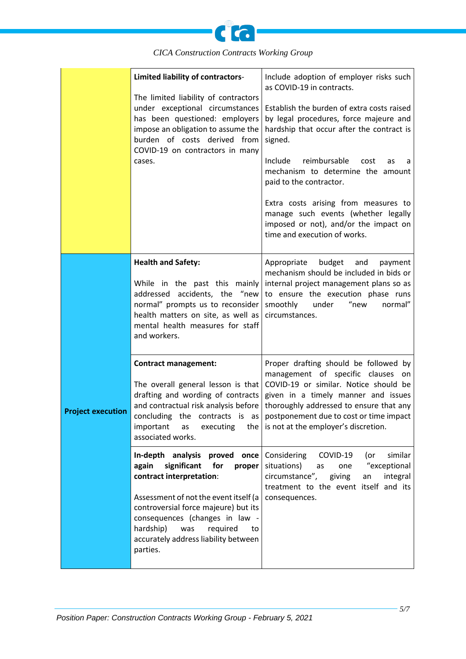

|                          | Limited liability of contractors-<br>The limited liability of contractors<br>under exceptional circumstances<br>has been questioned: employers<br>impose an obligation to assume the<br>burden of costs derived from<br>COVID-19 on contractors in many<br>cases.                                               | Include adoption of employer risks such<br>as COVID-19 in contracts.<br>Establish the burden of extra costs raised<br>by legal procedures, force majeure and<br>hardship that occur after the contract is<br>signed.<br>Include<br>reimbursable<br>cost<br>as<br>a<br>mechanism to determine the amount<br>paid to the contractor.<br>Extra costs arising from measures to<br>manage such events (whether legally<br>imposed or not), and/or the impact on<br>time and execution of works. |
|--------------------------|-----------------------------------------------------------------------------------------------------------------------------------------------------------------------------------------------------------------------------------------------------------------------------------------------------------------|--------------------------------------------------------------------------------------------------------------------------------------------------------------------------------------------------------------------------------------------------------------------------------------------------------------------------------------------------------------------------------------------------------------------------------------------------------------------------------------------|
|                          | <b>Health and Safety:</b><br>While in the past this mainly<br>addressed accidents, the "new<br>normal" prompts us to reconsider<br>health matters on site, as well as<br>mental health measures for staff<br>and workers.                                                                                       | Appropriate<br>budget<br>and<br>payment<br>mechanism should be included in bids or<br>internal project management plans so as<br>to ensure the execution phase runs<br>smoothly<br>under<br>"new<br>normal"<br>circumstances.                                                                                                                                                                                                                                                              |
| <b>Project execution</b> | <b>Contract management:</b><br>The overall general lesson is that<br>drafting and wording of contracts<br>and contractual risk analysis before<br>concluding the contracts is as l<br>important as executing the $\vert$ is not at the employer's discretion.<br>associated works.                              | Proper drafting should be followed by<br>management of specific clauses on<br>COVID-19 or similar. Notice should be<br>given in a timely manner and issues<br>thoroughly addressed to ensure that any<br>postponement due to cost or time impact                                                                                                                                                                                                                                           |
|                          | In-depth analysis proved once<br>for<br>again<br>significant<br>proper<br>contract interpretation:<br>Assessment of not the event itself (a<br>controversial force majeure) but its<br>consequences (changes in law -<br>hardship)<br>was<br>required<br>to<br>accurately address liability between<br>parties. | Considering COVID-19<br>similar<br>(or<br>"exceptional<br>situations)<br>as<br>one<br>circumstance", giving<br>integral<br>an<br>treatment to the event itself and its<br>consequences.                                                                                                                                                                                                                                                                                                    |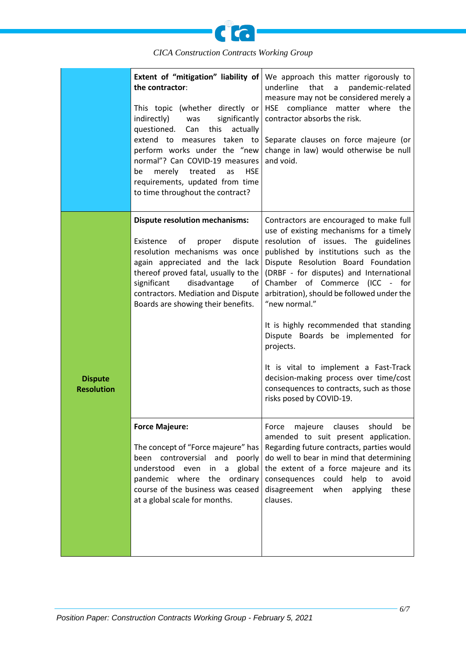

|                                     | Extent of "mitigation" liability of<br>the contractor:<br>This topic (whether directly or<br>indirectly)<br>significantly<br>was<br>questioned.<br>this<br>actually<br>Can<br>extend to measures taken to<br>perform works under the "new<br>normal"? Can COVID-19 measures<br>merely<br>treated<br><b>HSE</b><br>be<br>as<br>requirements, updated from time<br>to time throughout the contract? | We approach this matter rigorously to<br>underline<br>that<br>pandemic-related<br>a<br>measure may not be considered merely a<br>HSE compliance matter where the<br>contractor absorbs the risk.<br>Separate clauses on force majeure (or<br>change in law) would otherwise be null<br>and void.                                                                                                                                                                                                                                                                                                              |
|-------------------------------------|---------------------------------------------------------------------------------------------------------------------------------------------------------------------------------------------------------------------------------------------------------------------------------------------------------------------------------------------------------------------------------------------------|---------------------------------------------------------------------------------------------------------------------------------------------------------------------------------------------------------------------------------------------------------------------------------------------------------------------------------------------------------------------------------------------------------------------------------------------------------------------------------------------------------------------------------------------------------------------------------------------------------------|
| <b>Dispute</b><br><b>Resolution</b> | <b>Dispute resolution mechanisms:</b><br>dispute<br>Existence<br>of<br>proper<br>resolution mechanisms was once<br>again appreciated and the lack<br>thereof proved fatal, usually to the<br>significant<br>disadvantage<br>оf<br>contractors. Mediation and Dispute<br>Boards are showing their benefits.                                                                                        | Contractors are encouraged to make full<br>use of existing mechanisms for a timely<br>resolution of issues. The guidelines<br>published by institutions such as the<br>Dispute Resolution Board Foundation<br>(DRBF - for disputes) and International<br>Chamber of Commerce (ICC - for<br>arbitration), should be followed under the<br>"new normal."<br>It is highly recommended that standing<br>Dispute Boards be implemented for<br>projects.<br>It is vital to implement a Fast-Track<br>decision-making process over time/cost<br>consequences to contracts, such as those<br>risks posed by COVID-19. |
|                                     | <b>Force Majeure:</b><br>The concept of "Force majeure" has<br>and<br>been<br>controversial<br>poorly<br>understood<br>global<br>even<br>in<br>a<br>the<br>pandemic where<br>ordinary<br>course of the business was ceased<br>at a global scale for months.                                                                                                                                       | clauses<br>should<br>Force<br>majeure<br>be<br>amended to suit present application.<br>Regarding future contracts, parties would<br>do well to bear in mind that determining<br>the extent of a force majeure and its<br>consequences could<br>help to<br>avoid<br>when<br>disagreement<br>applying<br>these<br>clauses.                                                                                                                                                                                                                                                                                      |